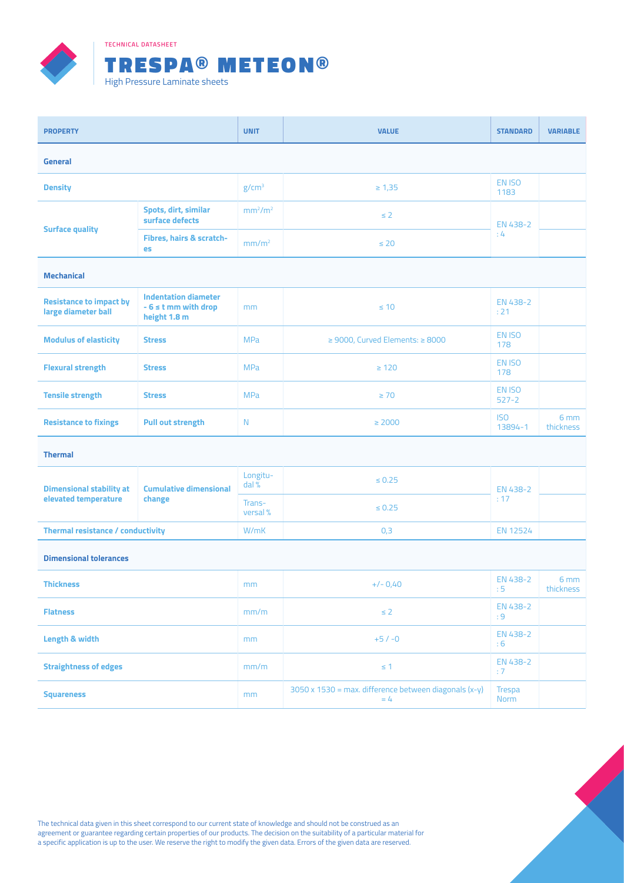

**TECHNICAL DATASHEET**



| <b>PROPERTY</b>                                         |                                                                         | <b>UNIT</b>                     | <b>VALUE</b>                                                                 | <b>STANDARD</b>                | <b>VARIABLE</b>              |  |  |  |  |
|---------------------------------------------------------|-------------------------------------------------------------------------|---------------------------------|------------------------------------------------------------------------------|--------------------------------|------------------------------|--|--|--|--|
| <b>General</b>                                          |                                                                         |                                 |                                                                              |                                |                              |  |  |  |  |
| <b>Density</b>                                          |                                                                         | g/cm <sup>3</sup>               | $\geq 1,35$                                                                  | EN <sub>ISO</sub><br>1183      |                              |  |  |  |  |
| <b>Surface quality</b>                                  | Spots, dirt, similar<br>surface defects                                 | mm <sup>2</sup> /m <sup>2</sup> | $\leq$ 2                                                                     | EN 438-2<br>:4                 |                              |  |  |  |  |
|                                                         | Fibres, hairs & scratch-<br>es                                          | mm/m <sup>2</sup>               | $\leq 20$                                                                    |                                |                              |  |  |  |  |
| <b>Mechanical</b>                                       |                                                                         |                                 |                                                                              |                                |                              |  |  |  |  |
| <b>Resistance to impact by</b><br>large diameter ball   | <b>Indentation diameter</b><br>$-6 \leq t$ mm with drop<br>height 1.8 m | mm                              | $\leq 10$                                                                    | EN 438-2<br>: 21               |                              |  |  |  |  |
| <b>Modulus of elasticity</b>                            | <b>Stress</b>                                                           | <b>MPa</b>                      | $\geq$ 9000, Curved Elements: $\geq$ 8000                                    | EN ISO<br>178                  |                              |  |  |  |  |
| <b>Flexural strength</b>                                | <b>Stress</b>                                                           | <b>MPa</b>                      | $\geq 120$                                                                   | EN ISO<br>178                  |                              |  |  |  |  |
| <b>Tensile strength</b>                                 | <b>Stress</b>                                                           | <b>MPa</b>                      | $\geq 70$                                                                    | EN <sub>ISO</sub><br>$527 - 2$ |                              |  |  |  |  |
| <b>Resistance to fixings</b>                            | <b>Pull out strength</b>                                                | N                               | $\geq 2000$                                                                  | <b>ISO</b><br>13894-1          | 6 <sub>mm</sub><br>thickness |  |  |  |  |
| <b>Thermal</b>                                          |                                                                         |                                 |                                                                              |                                |                              |  |  |  |  |
| <b>Dimensional stability at</b><br>elevated temperature | <b>Cumulative dimensional</b><br>change                                 | Longitu-<br>dal %               | $\leq 0.25$                                                                  | EN 438-2<br>: 17               |                              |  |  |  |  |
|                                                         |                                                                         | Trans-<br>versal %              | $\leq 0.25$                                                                  |                                |                              |  |  |  |  |
| <b>Thermal resistance / conductivity</b>                |                                                                         | W/mK                            | 0,3                                                                          | EN 12524                       |                              |  |  |  |  |
| <b>Dimensional tolerances</b>                           |                                                                         |                                 |                                                                              |                                |                              |  |  |  |  |
| <b>Thickness</b>                                        |                                                                         | mm                              | $+/- 0,40$                                                                   | EN 438-2<br>:5                 | 6 <sub>mm</sub><br>thickness |  |  |  |  |
| <b>Flatness</b>                                         |                                                                         | mm/m                            | $\leq 2$                                                                     | EN 438-2<br>:9                 |                              |  |  |  |  |
| Length & width                                          |                                                                         | mm                              | $+5/ -0$                                                                     | EN 438-2<br>:6                 |                              |  |  |  |  |
| <b>Straightness of edges</b>                            |                                                                         | mm/m                            | $\leq 1$                                                                     | EN 438-2<br>: 7                |                              |  |  |  |  |
| <b>Squareness</b>                                       |                                                                         | mm                              | $3050 \times 1530 = \text{max.}$ difference between diagonals (x-y)<br>$= 4$ | Trespa<br>Norm                 |                              |  |  |  |  |

The technical data given in this sheet correspond to our current state of knowledge and should not be construed as an agreement or guarantee regarding certain properties of our products. The decision on the suitability of a particular material for a specific application is up to the user. We reserve the right to modify the given data. Errors of the given data are reserved.